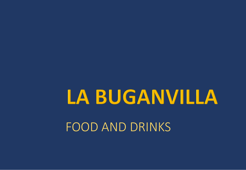# LA BUGANVILLA FOOD AND DRINKS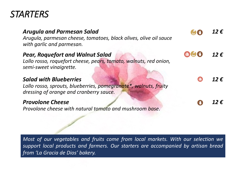# *STARTERS*

| <b>Arugula and Parmesan Salad</b><br>Arugula, parmesan cheese, tomatoes, black olives, olive oil sauce<br>with garlic and parmesan.          | $12 \,\epsilon$ |
|----------------------------------------------------------------------------------------------------------------------------------------------|-----------------|
| <b>Pear, Roquefort and Walnut Salad</b><br>Lollo rosso, roquefort cheese, pears, tomato, walnuts, red onion,<br>semi-sweet vinaigrette.      | $12 \epsilon$   |
| <b>Salad with Blueberries</b><br>Lollo rosso, sprouts, blueberries, pomegranate*, walnuts, fruity<br>dressing of orange and cranberry sauce. | 12f             |
| <b>Provolone Cheese</b><br>Provolone cheese with natural tomato and mushroom base.                                                           | 12 $\mathbf{f}$ |

*Most of our vegetables and fruits come from local markets. With our selection we support local products and farmers. Our starters are accompanied by artisan bread from 'La Gracia de Dios' bakery.*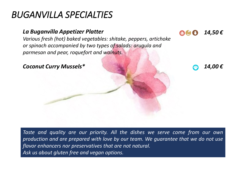# *BUGANVILLA SPECIALTIES*

#### *La Buganvilla Appetizer Platter*

*Various fresh (hot) baked vegetables: shitake, peppers, artichoke or spinach accompanied by two types of salads: arugula and parmesan and pear, roquefort and walnuts.* 



*14,50 €*

**CON (A)** 

*Taste and quality are our priority. All the dishes we serve come from our own production and are prepared with love by our team. We guarantee that we do not use flavor enhancers nor preservatives that are not natural. Ask us about gluten free and vegan options.*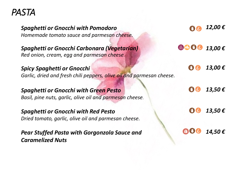

| <b>Spaghetti or Gnocchi with Pomodoro</b><br>Homemade tomato sauce and parmesan cheese.                    |                                        | 12,00 $\epsilon$              |
|------------------------------------------------------------------------------------------------------------|----------------------------------------|-------------------------------|
| <b>Spaghetti or Gnocchi Carbonara (Vegetarian)</b><br>Red onion, cream, egg and parmesan cheese.           | 52 08 0                                | 13,00€                        |
| <b>Spicy Spaghetti or Gnocchi</b><br>Garlic, dried and fresh chili peppers, olive oil and parmesan cheese. | $\begin{pmatrix} 0 \\ 0 \end{pmatrix}$ | 13,00 $\epsilon$              |
| <b>Spaghetti or Gnocchi with Green Pesto</b><br>Basil, pine nuts, garlic, olive oil and parmesan cheese.   | Company of Company                     | 13,50 $\boldsymbol{\epsilon}$ |
| <b>Spaghetti or Gnocchi with Red Pesto</b><br>Dried tomato, garlic, olive oil and parmesan cheese.         |                                        | 13,50€                        |
| <b>Pear Stuffed Pasta with Gorgonzola Sauce and</b><br><b>Caramelized Nuts</b>                             |                                        | 14,50€                        |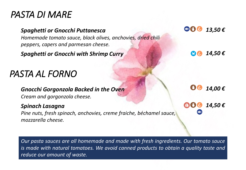# *PASTA DI MARE*

#### *Spaghetti or Gnocchi Puttanesca Homemade tomato sauce, black olives, anchovies, dried chili peppers, capers and parmesan cheese.*

*Spaghetti or Gnocchi with Shrimp Curry 14,50 €*

# *PASTA AL FORNO*

#### *Gnocchi Gorgonzola Backed in the Oven*

*Cream and gorgonzola cheese.* 

#### *Spinach Lasagna*

*Pine nuts, fresh spinach, anchovies, creme fraiche, béchamel sauce, mozzarella cheese.*

*Our pasta sauces are all homemade and made with fresh ingredients. Our tomato sauce is made with natural tomatoes. We avoid canned products to obtain a quality taste and reduce our amount of waste.*

 $\left( 1, 1 \right)$ *13,50 €*

*14,00 €*

*14,50 €* 494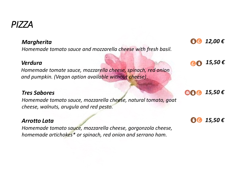#### *Margherita*

*Homemade tomato sauce and mozzarella cheese with fresh basil.*

#### *Verdura*

*Homemade tomate sauce, mozzarella cheese, spinach, red onion and pumpkin. (Vegan option available without cheese)* 

#### *Tres Sabores*

*Homemade tomato sauce, mozzarella cheese, natural tomato, goat cheese, walnuts, arugula and red pesto.*

#### *Arrotto Lata*

*Homemade tomato sauce, mozzarella cheese, gorgonzola cheese, homemade artichokes\* or spinach, red onion and serrano ham.*

*15,50 €*  $\mathbb{C}^{\mathbb{C}}$ 

*15,50 €* 494

*15,50 €*





### *PIZZA*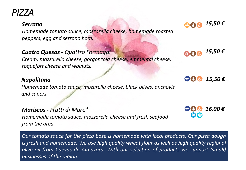### *PIZZA*

#### *Serrano*

*Homemade tomato sauce, mozzarella cheese, homemade roasted peppers, egg and serrano ham.*

#### *Cuatro Quesos - Quattro Formaggi*

*Cream, mozzarella cheese, gorgonzola cheese, emmental cheese, roquefort cheese and walnuts.*

#### *Napolitana*

*Homemade tomato sauce, mozarella cheese, black olives, anchovis and capers.* 

*Mariscos - Frutti di Mare\* Homemade tomato sauce, mozzarella cheese and fresh seafood from the area.* 

*Our tomato sauce for the pizza base is homemade with local products. Our pizza dough is fresh and homemade. We use high quality wheat flour as well as high quality regional olive oil from Cuevas de Almazora. With our selection of products we support (small) businesses of the region.*





*15,50 €* 10 July

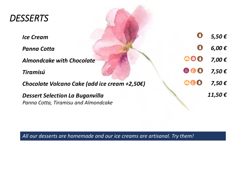| <b>DESSERTS</b>                                                                |            |                               |
|--------------------------------------------------------------------------------|------------|-------------------------------|
| <b>Ice Cream</b>                                                               |            | $5,50 \in$                    |
| <b>Panna Cotta</b>                                                             | $\bigcirc$ | $6,00 \in$                    |
| <b>Almondcake with Chocolate</b>                                               | 62 49 4    | $7,00 \in$                    |
| <b>Tiramisú</b>                                                                | EX Refuge  | $7,50 \in$                    |
| Chocolate Volcano Cake (add ice cream +2,50€)                                  | 83 Regie 1 | $7,50 \in$                    |
| <b>Dessert Selection La Buganvilla</b><br>Panna Cotta, Tiramisu and Almondcake |            | 11,50 $\boldsymbol{\epsilon}$ |

*All our desserts are homemade and our ice creams are artisanal. Try them!*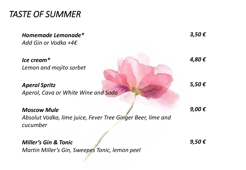*TASTE OF SUMMER*

| Homemade Lemonade*<br>Add Gin or Vodka +4 $\epsilon$                    | 3,50 $\boldsymbol{\epsilon}$ |
|-------------------------------------------------------------------------|------------------------------|
| $lec$ cream $*$                                                         | 4,80€                        |
| Lemon and mojito sorbet                                                 |                              |
| <b>Aperol Spritz</b>                                                    | $5,50 \in$                   |
| Aperol, Cava or White Wine and Soda                                     |                              |
| <b>Moscow Mule</b>                                                      | 9,00€                        |
| Absolut Vodka, lime juice, Fever Tree Ginger Beer, lime and<br>cucumber |                              |
|                                                                         |                              |

#### *Miller's Gin & Tonic*

*Martin Miller's Gin, Sweepes Tonic, lemon peel*

*9,50 €*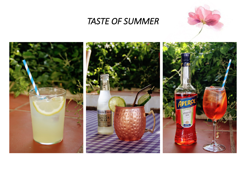

### *TASTE OF SUMMER*

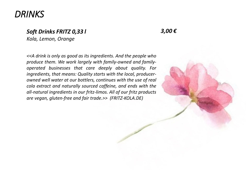### *DRINKS*

#### *Soft Drinks FRITZ 0,33 l*

*Kola, Lemon, Orange* 

*3,00 €*

*<<A drink is only as good as its ingredients. And the people who produce them. We work largely with family-owned and familyoperated businesses that care deeply about quality. For ingredients, that means: Quality starts with the local, producerowned well water at our bottlers, continues with the use of real cola extract and naturally sourced caffeine, and ends with the all-natural ingredients in our fritz-limos. All of our fritz products are vegan, gluten-free and fair trade.>> (FRITZ-KOLA.DE)*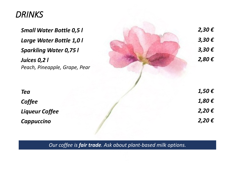### *DRINKS*

*Juices 0,2 l Peach, Pineapple, Grape, Pear*

*Small Water Bottle 0,5 l 2,30 € Large Water Bottle 1,0 l 3,30 € Sparkling Water 0,75 l 3,30 € 2,80 € Tea 1,50 € Coffee 1,80 € Liqueur Coffee 2,20 € Cappuccino 2,20 €*

*Our coffee is fair trade. Ask about plant-based milk options.*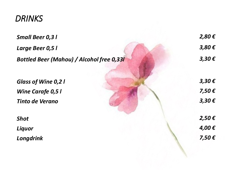### *DRINKS*

| <b>Small Beer 0,31</b>                           | $2,80 \in$ |
|--------------------------------------------------|------------|
| Large Beer 0,5 l                                 | $3,80 \in$ |
| <b>Bottled Beer (Mahou) / Alcohol free 0,331</b> | $3,30 \in$ |
| <b>Glass of Wine 0,21</b>                        | $3,30 \in$ |
| <b>Wine Carafe 0,5 l</b>                         | $7,50 \in$ |
| <b>Tinto de Verano</b>                           | $3,30 \in$ |
| <b>Shot</b>                                      | $2,50 \in$ |
| Liquor                                           | 4,00€      |
| Longdrink                                        | $7,50 \in$ |
|                                                  |            |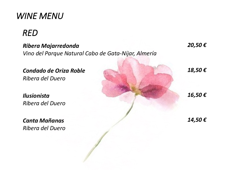### *WINE MENU*

# *RED*

#### *Ribera Majarredonda*

*Vino del Parque Natural Cabo de Gata-Níjar, Almería*

*Condado de Oriza Roble Ribera del Duero*

*Ilusionista Ribera del Duero*

*Canta Mañanas Ribera del Duero* *20,50 €*

*18,50 €*

*16,50 €*

*14,50 €*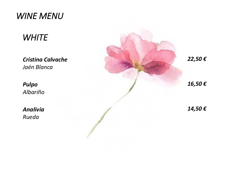### *WINE MENU*

# *WHITE*

*Cristina Calvache Jaén Blanca*

*Pulpo Albariño* 

*Analivia Rueda*

*22,50 € 16,50 € 14,50 €*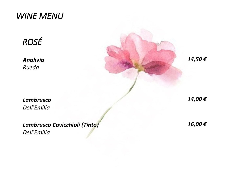### *WINE MENU*

*ROSÉ*

*Analivia Rueda*

*Lambrusco Dell'Emilia*

*Lambrusco Cavicchioli (Tinto) Dell'Emilia*

*14,50 €*

*14,00 €*

*16,00 €*